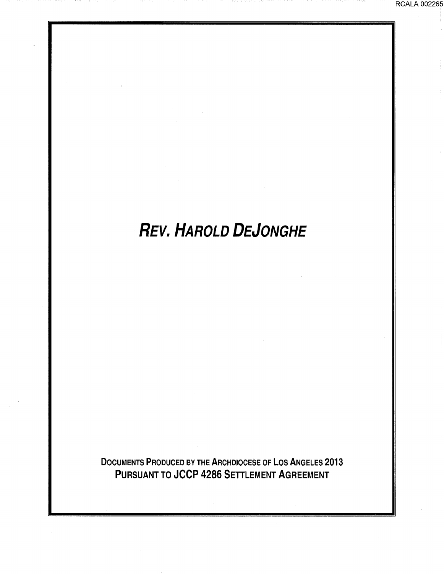# **REV.** *HAROLD* **DEJONGHE**

DOCUMENTS PRODUCED BY THE ARCHDIOCESE OF LOS ANGELES 2013 PURSUANT TO JCCP 4286 SETTLEMENT AGREEMENT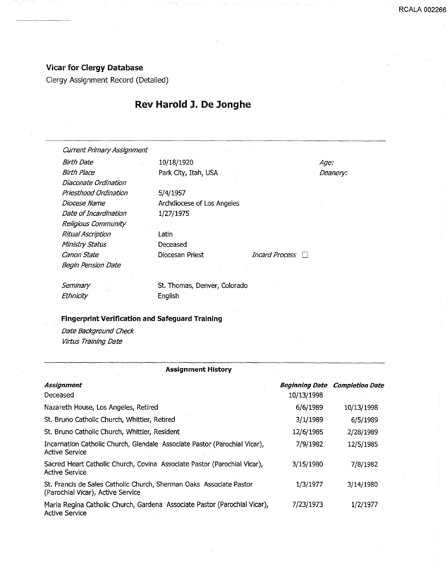### Vicar for Clergy Database

Clergy Assignment Record (Detailed)

## Rev Harold J. De Jonghe

| <b>Current Primary Assignment</b>                      |                              |                |             |  |
|--------------------------------------------------------|------------------------------|----------------|-------------|--|
| Birth Date                                             | 10/18/1920                   |                | <i>Aqe:</i> |  |
| <b>Birth Place</b>                                     | Park City, Itah, USA         |                | Deanery:    |  |
| Diaconate Ordination                                   |                              |                |             |  |
| Priesthood Ordination                                  | 5/4/1957                     |                |             |  |
| Diocese Name                                           | Archdiocese of Los Angeles   |                |             |  |
| Date of Incardination                                  | 1/27/1975                    |                |             |  |
| Religious Community                                    |                              |                |             |  |
| Ritual Ascription                                      | Latin                        |                |             |  |
| Ministry Status                                        | Deceased                     |                |             |  |
| Canon State                                            | Diocesan Priest              | Incard Process |             |  |
| Begin Pension Date                                     |                              |                |             |  |
| Seminary                                               | St. Thomas, Denver, Colorado |                |             |  |
| Ethnicity                                              | English                      |                |             |  |
| <b>Fingerprint Verification and Safeguard Training</b> |                              |                |             |  |

Virtus Training Date

#### Assignment History

| Assignment<br>Deceased                                                                                   | <b>Beginning Date</b><br>10/13/1998 | <b>Completion Date</b> |
|----------------------------------------------------------------------------------------------------------|-------------------------------------|------------------------|
| Nazareth House, Los Angeles, Retired                                                                     | 6/6/1989                            | 10/13/1998             |
| St. Bruno Catholic Church, Whittier, Retired                                                             | 3/1/1989                            | 6/5/1989               |
| St. Bruno Catholic Church, Whittier, Resident                                                            | 12/6/1985                           | 2/28/1989              |
| Incarnation Catholic Church, Glendale Associate Pastor (Parochial Vicar),<br>Active Service              | 7/9/1982                            | 12/5/1985              |
| Sacred Heart Catholic Church, Covina Associate Pastor (Parochial Vicar),<br><b>Active Service</b>        | 3/15/1980                           | 7/8/1982               |
| St. Francis de Sales Catholic Church, Sherman Oaks Associate Pastor<br>(Parochial Vicar), Active Service | 1/3/1977                            | 3/14/1980              |
| Maria Regina Catholic Church, Gardena Associate Pastor (Parochial Vicar),<br><b>Active Service</b>       | 7/23/1973                           | 1/2/1977               |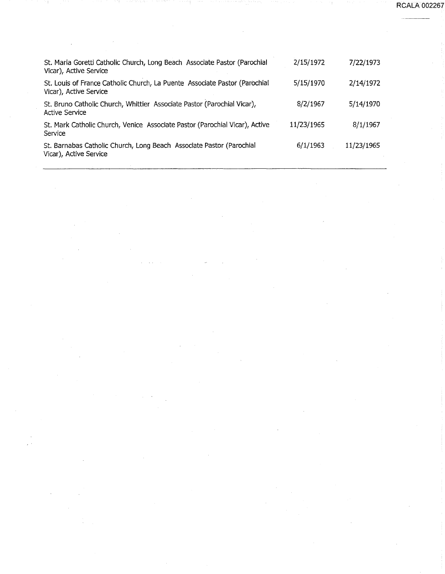| St. Maria Goretti Catholic Church, Long Beach Associate Pastor (Parochial<br>Vicar), Active Service  | 2/15/1972  | 7/22/1973  |
|------------------------------------------------------------------------------------------------------|------------|------------|
| St. Louis of France Catholic Church, La Puente Associate Pastor (Parochial<br>Vicar), Active Service | 5/15/1970  | 2/14/1972  |
| St. Bruno Catholic Church, Whittier Associate Pastor (Parochial Vicar),<br><b>Active Service</b>     | 8/2/1967   | 5/14/1970  |
| St. Mark Catholic Church, Venice Associate Pastor (Parochial Vicar), Active<br>Service               | 11/23/1965 | 8/1/1967   |
| St. Barnabas Catholic Church, Long Beach Associate Pastor (Parochial<br>Vicar), Active Service       | 6/1/1963   | 11/23/1965 |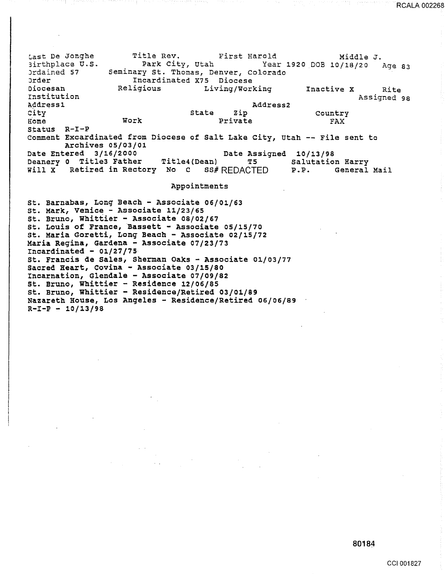Last De Jonghe 3irthplace U.S. )rdained 57 Jrder Title Rev. First Harold Middle J.<br>Park City, Utah Year 1920 DOB 10/18/20 Year 1920 DOB 10/18/20 Seminary St. Thomas, Denver, Colorado Incardinated X75 Diocese<br>Religious Living/Work Age 83 Diocesan Institution  $Adress1$ Living/Working Inactive X Rite Assigned 98 City S:ome status R-I-P comment Excardinated from Diocese of Salt Lake City, utah -- File sent to state Work Zip Private Address2 Country FAX Date Assigned 10/13/98 Title4(Dean) TS Salutation Harry<br>P.P. General Mail Archives 05/03/01 Date Entered 3/16/2000 Deanery o Title3 Father Will  $X$  Retired in Rectory No C SS# REDACTED

Appointments

st. Barnabas, Long Beach - Associate 06/01/63 st. Mark, Venice - Associate 11/23/65 st. Bruno, Whittier - Associate 08/02/67 st. Louis of France, Bassett - Associate 05/15/70 *St.* Maria Goretti, Long Beach - Associate 02/15/72 Maria Regina, Gardena - Associate 07/23/73 Incardinated  $-01/27/75$ st. Francis de Sales, Sherman Oaks - Associate Ol/03/77 sacred Heart, Covina - Associate 03/15/80 Incarnation, Glendale -Associate 07/09/82 *st.* Bruno, Whittier - Residence 12/06/85 st. Bruno, Whittier - ResidencejRetired 03/01/89 Nazareth House, Los Angeles - Residence/Retired 06/06/89  $R-I-P - 10/13/98$ 

80184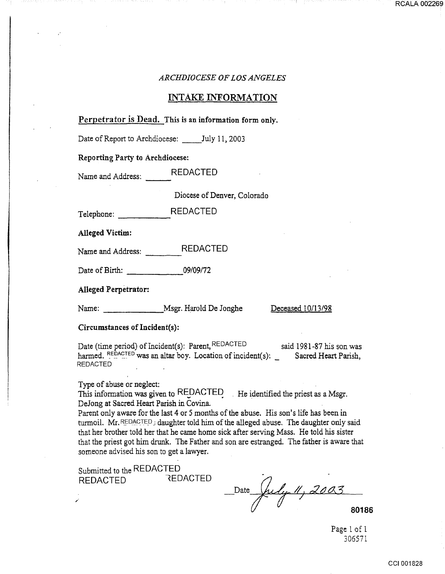#### *ARCHDIOCESE OF LOS ANGELES*

#### INTAKE INFORMATION

#### Perpetrator is Dead. This is an information form only.

Date of Report to Archdiocese: July 11, 2003

Reporting Party to Archdiocese:

Name and Address: REDACTED

Diocese of Denver, Colorado

Telephone: \_ \_ \_ REDACTED

Alleged Victim:

Name and Address: REDACTED ----

Date of Birth: 09/09/72

#### Alleged Perpetrator:

Name: Msgr. Harold De Jonghe Deceased 10/13/98

#### Circumstances of Incident(s):

Date (time period) of Incident(s): Parent, REDACTED said 1981-87 his son was harmed. REDACTED was an altar boy. Location of incident(s): \_ Sacred Heart Parish, REDACTED

#### Type of abuse or neglect:

*/* 

This information was given to REDACTED . He identified the priest as a Msgr. DeJong at Sacred Heart Parish in Covina.

Parent only aware for the last 4 or 5 months of the abuse. His son's life has been in turmoil.  $Mr$ , REDACTED  $\jmath$  daughter told him of the alleged abuse. The daughter only said that her brother told her that he came home sick after serving Mass. He told his sister that the priest got him drunk. The Father and son are estranged. The father is aware that someone advised his son to get a lawyer.

Submitted to the REDACTED<br>REDACTED REDACTED **REDACTED** 

Date Jul*y 11, 2003* 80186

Page 1 of 1 306571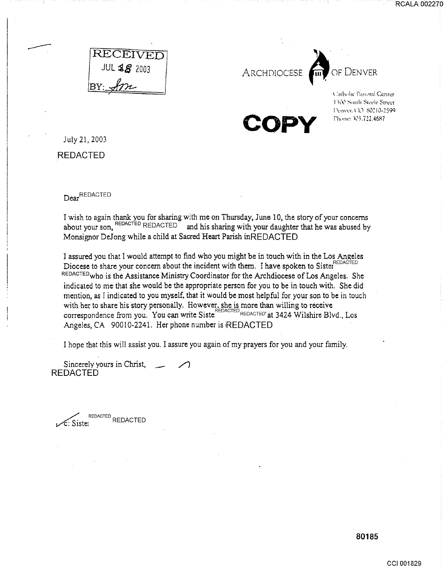



**COPY** 

Carlwohe Pastoral Center 1300 South Steele Street I lenver. CO 80210-2599. t'h,•rw: h~).722.46K7

July 21, 2003

REDACTED

Dear<sup>REDACTED</sup>

I wish to again thank you for sharing with me on Thursday, June 10, the story of your concerns about your son, REDACTED REDACTED and his sharing with your daughter that he was abused by Monsignor DeJong while a child at Sacred Heart Parish inREDACTED

I assured you that 1 would attempt to find who you might be in touch with in the Los Angeles Diocese to share your concern about the incident with them. I have spoken to Sister REDACTED REDACTED who is the Assistance Ministry Coordinator for the Archdiocese of Los Angeles. She indicated to me that she would be the appropriate person for you to be in touch with. She did mention, as T indicated to you myself. that it would be most helpful for your son to be in touch with her to share his story personally. However. she is more than willing to receive correspondence from you. You can write Siste. REDACTED REDACTED' at 3424 Wilshire Blvd., Los Angeles, CA 90010-2241. Her phone number is REDACTED

I hope that this will assist you. I assure you again of my prayers for you and your family.

Sincerely yours in Christ, REDACTED --

REDACTED<br>C: Sistel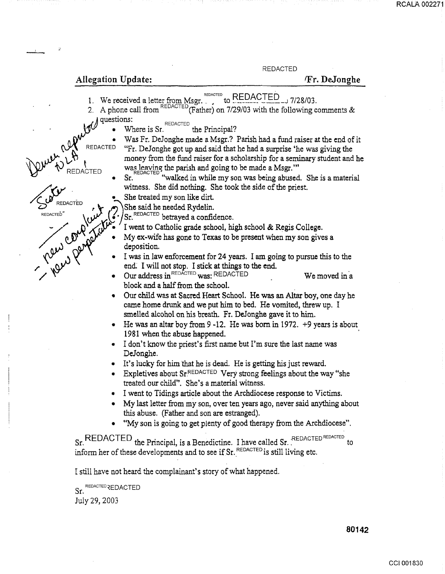RCALA 002271

REDACTED

#### Allegation Update: formula and the formula of  $\Gamma$ . DeJonghe

- 1. We received a letter from Msgr.  $\frac{REDACTED}{S}$  to  $\frac{REDACTED}{S}$  7/28/03.
- 2. A phone call from  $\frac{REDACFED}{P(Father)}$  on 7/29/03 with the following comments &  $\mathcal{P}(\mathcal{P}^{\text{questions:}})$  where is Sr. REDACTED
	- the Principal?
- Was Fr. DeJonghe made a Msgr.? Parish had a fund raiser at the end of it REDACTED "Fr. DeJonghe got up and said that he had a surprise the was giving the "Fr. DeJonghe got up and said that he had a surprise 'he was giving the money from the fund raiser for a scholarship for a seminary student and he
- **EXECUTED** was leaving the parish and going to be made a Msgr."<br>REDACTED Sr. "walked in while my son was being abused • Sr. "walked in while my son was being abused. She is a material witness. She did nothing. She took the side of the priest.
	- **P**<br>REDACTED<br>REDACTED

She said he needed Rydelin.

- $S$ <sub>Sr.</sub> REDACTED betrayed a confidence.
- 
- She treated my son like dirt.<br>
Concriently and the medded Rydelin.<br>
Concrete betrayed a confidence.<br>
Concrete to Texas to be present when my son gives a a my ex-wife has gone to Texas to be present when my son gives a Van Compte Comptete Comptete Comptete Comptete Comptete Comptete Comptete Comptete Comptete Comptete Comptete Comptete Comptete Comptete Comptete Comptete Comptete Comptete Comptete Comptete Comptete Comptete Comptete Comp
	- I was in law enforcement for 24 years. I am going to pursue this to the end. I will not stop. I stick at things to the end.
	- Our address in  $REDACTED$  was: REDACTED We moved in a block and a half from the school. .
	- Our child was at Sacred Heart School. He was an Altar boy, one day he came home drunk and we put him to bed. He vomited, threw up. I smelled alcohol on his breath. Fr. DeJonghe gave it to him.
	- He was an altar boy from 9 -12. He was born in 1972. +9 years is about 1981 when the abuse happened.
	- I don't know the priest's first name but I'm sure the last name was DeJonghe.
	- It's lucky for him that he is dead. He is getting his just reward.
	- Expletives about Sr. REDACTED Very strong feelings about the way "she treated our child". She's a material witness.
	- I went to Tidings article about the Archdiocese response to Victims.
	- My last letter from my son, over ten years ago, never said anything about this abuse. (Father and son are estranged).
	- "My son is going to get plenty of good therapy from the Archdiocese".

Sr. REDACTED the Principal, is a Benedictine. I have called Sr. REDACTED REDACTED to inform her of these developments and to see if Sr. REDACTED is still living etc.

I still have not heard the complainant's story of what happened.

Sr. REDACTED REDACTED July 29, 2003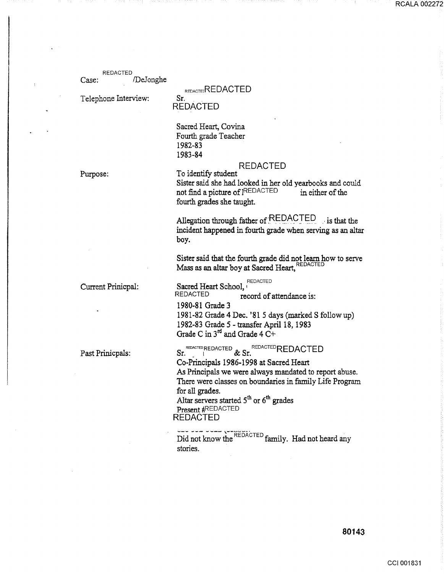REDACTED Case: /DeJonghe

#### REDACTED

Telephone Interview:

Sr. REDACTED

Sacred Heart, Covina Fourth grade Teacher 1982-83 1983-84

Purpose:

#### REDACTED To identify student

Sister said she had looked in her old yearbooks and could not find a picture of  $|$ REDACTED in either of the fourth grades she taught.

Allegation through father of  $REDACTER$  is that the incident happened in fourth grade when serving as an altar boy.

Sister said that the fourth grade did not learn how to serve Mass as an altar boy at Sacred Heart, REDACTED

Current Prinicpal:

Past Prinicpals:

Sacred Heart School, <sup>REDACTED</sup> REDACTED record of attendance is: 1980-81 Grade 3 1981-82 Grade 4 Dec. '81 5 days (marked S follow up) 1982-83 Grade 5 - transfer April 18, 1983 Grade C in 3<sup>rd</sup> and Grade 4 C+

St. (THE DACTED REDACTED REDACTED REDACTED ST. Co-Principals 1986-1998 at Sacred Heart As Principals we were always mandated to report abuse. There were classes on boundaries in family Life Program for all grades. Altar servers started  $5<sup>th</sup>$  or  $6<sup>th</sup>$  grades Present #REDACTED

REDACTED

 $\frac{1}{2}$  ---- $\frac{1}{2}$  . REDACTED  $\epsilon$   $\frac{1}{2}$  . It is easily and  $\frac{1}{2}$  in  $\frac{1}{2}$ Did not know the  $\sum_{n=0}^{\infty}$  family. Had not heard any stories.

**80143**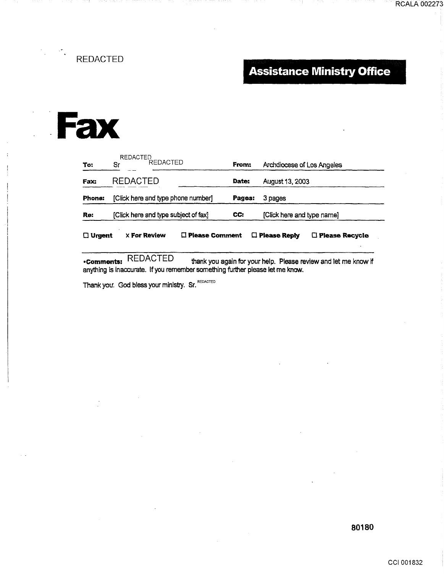REDACTED

## **Assistance Ministry Office**

RCALA 002273

**Fax** 

| To:              | <b>REDACTED</b><br>REDACTED          |                         | From:  | Archdiocese of Los Angeles |                         |
|------------------|--------------------------------------|-------------------------|--------|----------------------------|-------------------------|
| <b>Fax:</b>      | <b>REDACTED</b>                      |                         | Date:  | August 13, 2003            |                         |
| Phone:           | [Click here and type phone number]   |                         | Pages: | 3 pages                    |                         |
| Re:              | [Click here and type subject of fax] |                         | CC:    | [Click here and type name] |                         |
| $\square$ Urgent | <b>X For Review</b>                  | <b>O</b> Please Comment |        | $\Box$ Please Reply        | <b>T</b> Please Recycle |

•Comments: REDACTED thank you again for your help. Please review and let me know if anything is inaccurate. If you remember something further please let me know.

Thank you. God bless your ministry. Sr. REDACTED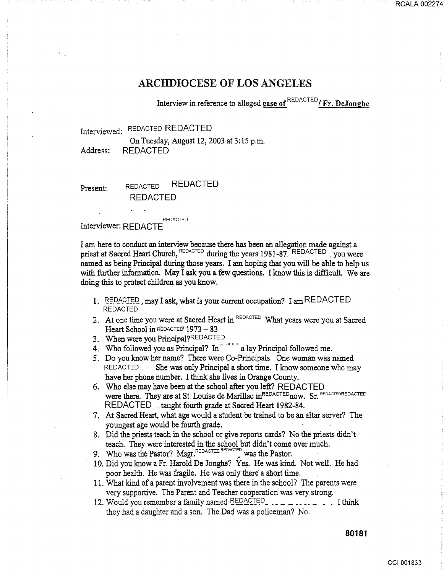ARCHDIOCESE OF LOS ANGELES

Interview in reference to alleged case of REDACTED / Fr. DeJonghe

Interviewed: REDACTED REDACTED

On Tuesday, August 12, 2003 at 3:15 p.m. Address: REDACTED

Present: REDACTED REDACTED REDACTED

REDACTED Interviewer: REDACTE

I am here to conduct an interview because there has been an allegation made against a priest at Sacred Heart Church, REDACTED, during the years 1981-87. REDACTED you were named as being Principal during those years. I am hoping that you will be able to help us with further information. May I ask you a few questions. I know this is difficult. We are doing this to protect children as you know.

- 1. REDACTED, may I ask, what is your current occupation? I am REDACTED REDACTED
- 2. At one time you were at Sacred Heart in REDACTED What years were you at Sacred Heart School in REDACTED' 1973 - 83
- 3. When were you Principal?REDACTED
- 4. Who followed you as Principal? In  $\overline{C}$  a lay Principal followed me.
- 5. Do you know her name? There were Co-Principals. One woman was named REDACTED She was only Principal a short time. I know someone who may have her phone number. I think she lives in Orange County.
- 6. Who else may have been at the school after you left? REDACTED were there. They are at St. Louise de Marillac inREDACTED<sub>now.</sub> Sr. REDACTEDREDACTED REDACTED . taught fourth grade at Sacred Heart 1982-84.
- 7. At Sacred Heart, what age would a student be trained to be an altar server? The youngest age would be fourth grade.
- 8. Did the priests teach in the school or give reports cards? No the priests didn't teach: They were interested in the school but didn't come over much.
- 9. Who was the Pastor? Msgr. $REDACTED REDACTED$  was the Pastor.
- 10. Did you know a Fr. Harold De Jonghe? Yes. He was kind. Not well. He had poor health. He was fragile. He was only there a short time.
- 11. What kind of a parent involvement was there in the school? The parents were very supportive. The Parent and Teacher cooperation was very strong.
- 12. Would you remember a family named ,13~Q6\_q\_-c~D \_ \_ \_ \_ \_ \_ \_ \_ \_ \_ \_ . I think they had a daughter and a son. The Dad was a policeman? No.

**80181** 

RCALA 00227 4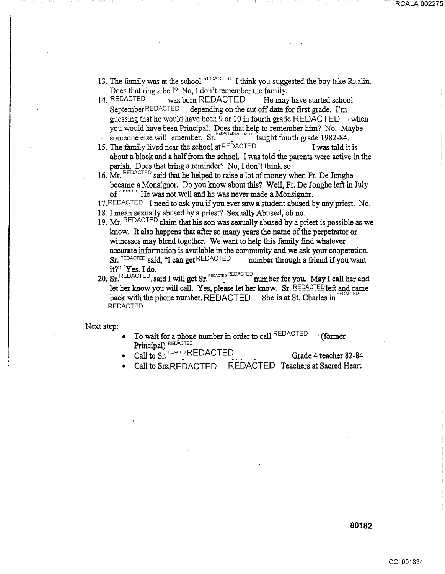- 13. The family was at the school REDACTED I think you suggested the boy take Ritalin. Does that ring a bell? No, I don't remember the family.<br>14. REDACTED was born REDACTED He may
- He may have started school September REDACTED depending on the cut off date for first grade. I'm guessing that he would have been 9 or 10 in fourth grade REDACTED  $\rightarrow$  when you would have been Principal. Does that help to remember him? No. Maybe someone else will remember. Sr. **• COACTED EDACTED** taught fourth grade 1982-84.
- 15. The family lived near the school at REDACTED  $\qquad \qquad$  I was told it is about a block and a half from the school. I was told the parents were active in the parish. Does that bring a reminder? No, I don't think so.
- 16. Mr. REDACTED said that he helped to raise a lot of money when Fr. De Jonghe became a Monsignor. Do you know about this? Well, Fr. De Jonghe left in July of<sup>REDACTED</sup> He was not well and he was never made a Monsignor.
- $17.$  REDACTED I need to ask you if you ever saw a student abused by any priest. No.
- 18. I mean sexually abused by a priest? Sexually Abused, oh no.
- 19. Mr. REDACTED claim that his son was sexually abused by a priest is possible as we know. It also happens that after so many years the name of the perpetrator or witnesses may blend together. We want to help this family find whatever accurate information is available in the community and we ask your cooperation.<br>Sr.  ${}^{REDACED}$  said, "I can get  ${}^{REDACTED}$  number through a friend if you want number through a friend if you want it?" Yes. I do.
- 20. Sr. REDACTED said I will get Sr. REDACTED REDACTED number for you. May I call her and let her know you will call. Yes, please let her know. Sr. REDACTED left and came back with the phone number. REDACTED She is at St. Charles in REDACTED

Next step:

- To wait for a phone number in order to call REDACTED (former Principal) REDACTED
- Call to  $S_r$ . REDACTED Grade 4 teacher 82-84
- Call to Srs.REDACTED REDACTED Teachers at Sacred Heart

**80182**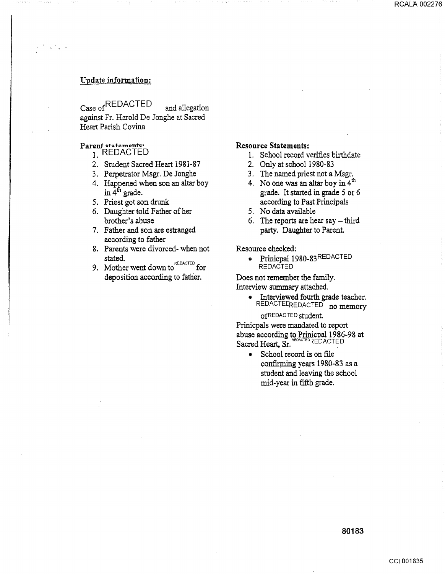#### Update information:

' '

Case of REDACTED and allegation against Fr. Harold De Jonghe at Sacred Heart Parish Covina

## Parent statoments.

- 1. REDACTED
- 2. Student Sacred Heart 1981-87
- 3. Perpetrator Msgr. De Jonghe
- 4. Happened when son an altar boy in  $4<sup>th</sup>$  grade.
- 5. Priest got son drunk
- 6. Daughter told Father of her brother's abuse
- 7. Father and son are estranged according to father
- 8. Parents were divorced- when not stated.<br>Nederland redacted
- 9. Mother went down to  $\sim$  for deposition according to father.

#### Resource Statements:

- 1. School record verifies birthdate
- 2. Only at school 1980-83
- 3. The named priest not a Msgr.
- 4. No one was an altar boy in  $4<sup>th</sup>$ grade. It started in grade 5 or 6 according to Past Principals
- 5. No data available
- 6. The reports are hear say  $-$  third party. Daughter to Parent.

Resource checked:

• Prinicpal 1980-83REDACTED **REDACTED** 

Does not remember the family. Interview summary attached.

> • Interviewed fourth grade teacher. REDACTELREDACTED no memory ofREDACTED student.

Prinicpals were mandated to report abuse according to Prinicpal 1986-98 at REDACTED **REDACTED** Sacred Heart, Sr.

• School record is on file confirming years 1980-83 as a student and leaving the school mid-year in fifth grade.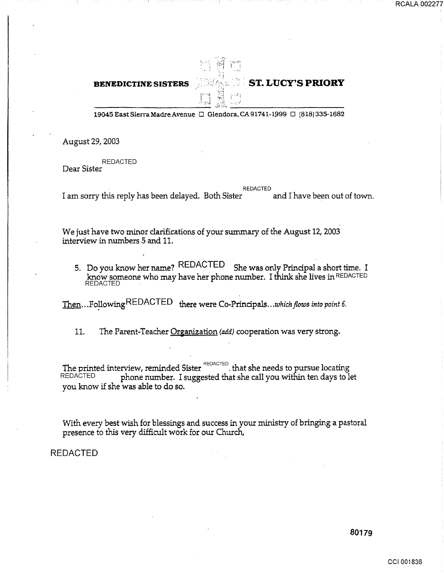#### **BENEDICTINE SISTERS** . · .. • **ST. LUCY'S PRIORY**

19045 East Sierra Madre Avenue  $\Box$  Glendora, CA 91741-1999  $\Box$  (818) 335-1682

 $\sim$   $\cdot$  ,

August 29,2003

REDACTED Dear Sister

REDACTED<br>cand I have been out of town. I am sorry this reply has been delayed. Both Sister

We just have two minor clarifications of your summary of the August 12, 2003 interview in numbers 5 and 11.

5. Do you know her name? REDACTED She was only Principal a short time. I know someone who may have her phone number. I think she lives in REDACTED REDACTED

Then... Following REDACTED there were *Co-Principals... which flows into point 6*.

11. The Parent-Teacher Organization (add) cooperation was very strong.

The printed interview, reminded Sister  $\frac{REDACTED}{REDACTE}$ . that she needs to pursue locating REDACTED **the phone number** I suggested that she call you within ten days to be phone number. I suggested that she call you within ten days to let you know if she was able to do so.

With every best wish for blessings and success in your ministry of bringing a pastoral presence to this very difficult work for our Church,

REDACTED